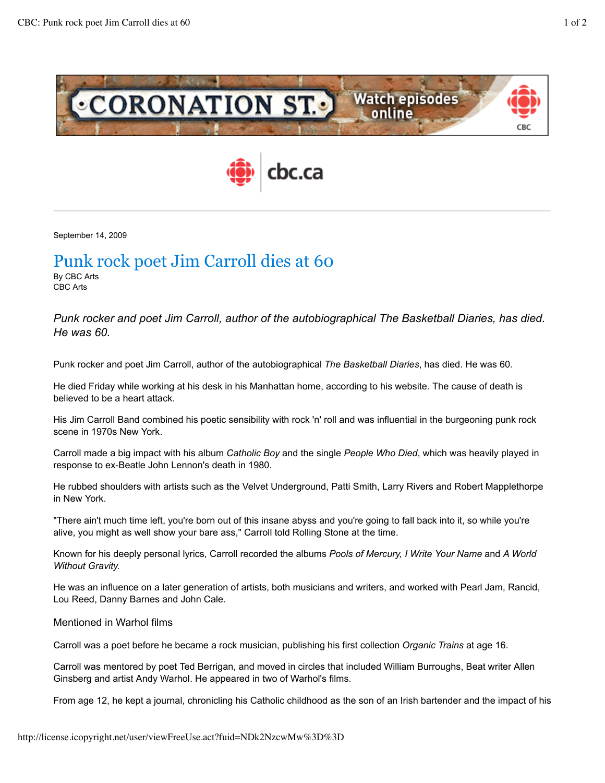



September 14, 2009

## Punk rock poet Jim Carroll dies at 60 By CBC Arts

CBC Arts

*Punk rocker and poet Jim Carroll, author of the autobiographical The Basketball Diaries, has died. He was 60.*

Punk rocker and poet Jim Carroll, author of the autobiographical *The Basketball Diaries*, has died. He was 60.

He died Friday while working at his desk in his Manhattan home, according to his website. The cause of death is believed to be a heart attack.

His Jim Carroll Band combined his poetic sensibility with rock 'n' roll and was influential in the burgeoning punk rock scene in 1970s New York.

Carroll made a big impact with his album *Catholic Boy* and the single *People Who Died*, which was heavily played in response to ex-Beatle John Lennon's death in 1980.

He rubbed shoulders with artists such as the Velvet Underground, Patti Smith, Larry Rivers and Robert Mapplethorpe in New York.

"There ain't much time left, you're born out of this insane abyss and you're going to fall back into it, so while you're alive, you might as well show your bare ass," Carroll told Rolling Stone at the time.

Known for his deeply personal lyrics, Carroll recorded the albums *Pools of Mercury, I Write Your Name* and *A World Without Gravity.*

He was an influence on a later generation of artists, both musicians and writers, and worked with Pearl Jam, Rancid, Lou Reed, Danny Barnes and John Cale.

## Mentioned in Warhol films

Carroll was a poet before he became a rock musician, publishing his first collection *Organic Trains* at age 16.

Carroll was mentored by poet Ted Berrigan, and moved in circles that included William Burroughs, Beat writer Allen Ginsberg and artist Andy Warhol. He appeared in two of Warhol's films.

From age 12, he kept a journal, chronicling his Catholic childhood as the son of an Irish bartender and the impact of his